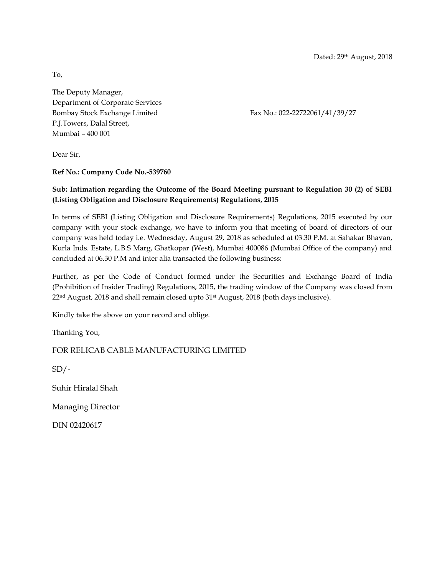Dated: 29th August, 2018

To,

The Deputy Manager, Department of Corporate Services Bombay Stock Exchange Limited Fax No.: 022-22722061/41/39/27 P.J.Towers, Dalal Street, Mumbai – 400 001

Dear Sir,

**Ref No.: Company Code No.-539760** 

### **Sub: Intimation regarding the Outcome of the Board Meeting pursuant to Regulation 30 (2) of SEBI (Listing Obligation and Disclosure Requirements) Regulations, 2015**

In terms of SEBI (Listing Obligation and Disclosure Requirements) Regulations, 2015 executed by our company with your stock exchange, we have to inform you that meeting of board of directors of our company was held today i.e. Wednesday, August 29, 2018 as scheduled at 03.30 P.M. at Sahakar Bhavan, Kurla Inds. Estate, L.B.S Marg, Ghatkopar (West), Mumbai 400086 (Mumbai Office of the company) and concluded at 06.30 P.M and inter alia transacted the following business:

Further, as per the Code of Conduct formed under the Securities and Exchange Board of India (Prohibition of Insider Trading) Regulations, 2015, the trading window of the Company was closed from 22nd August, 2018 and shall remain closed upto 31st August, 2018 (both days inclusive).

Kindly take the above on your record and oblige.

Thanking You,

FOR RELICAB CABLE MANUFACTURING LIMITED

 $SD/-$ 

Suhir Hiralal Shah

Managing Director

DIN 02420617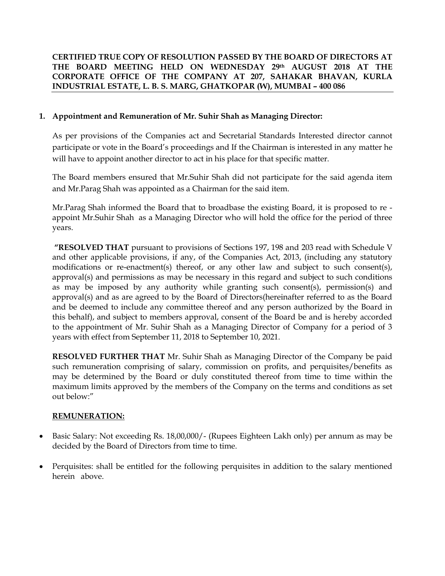## **CERTIFIED TRUE COPY OF RESOLUTION PASSED BY THE BOARD OF DIRECTORS AT THE BOARD MEETING HELD ON WEDNESDAY 29th AUGUST 2018 AT THE CORPORATE OFFICE OF THE COMPANY AT 207, SAHAKAR BHAVAN, KURLA INDUSTRIAL ESTATE, L. B. S. MARG, GHATKOPAR (W), MUMBAI – 400 086**

## **1. Appointment and Remuneration of Mr. Suhir Shah as Managing Director:**

As per provisions of the Companies act and Secretarial Standards Interested director cannot participate or vote in the Board's proceedings and If the Chairman is interested in any matter he will have to appoint another director to act in his place for that specific matter.

The Board members ensured that Mr.Suhir Shah did not participate for the said agenda item and Mr.Parag Shah was appointed as a Chairman for the said item.

Mr.Parag Shah informed the Board that to broadbase the existing Board, it is proposed to re appoint Mr.Suhir Shah as a Managing Director who will hold the office for the period of three years.

**"RESOLVED THAT** pursuant to provisions of Sections 197, 198 and 203 read with Schedule V and other applicable provisions, if any, of the Companies Act, 2013, (including any statutory modifications or re-enactment(s) thereof, or any other law and subject to such consent(s), approval(s) and permissions as may be necessary in this regard and subject to such conditions as may be imposed by any authority while granting such consent(s), permission(s) and approval(s) and as are agreed to by the Board of Directors(hereinafter referred to as the Board and be deemed to include any committee thereof and any person authorized by the Board in this behalf), and subject to members approval, consent of the Board be and is hereby accorded to the appointment of Mr. Suhir Shah as a Managing Director of Company for a period of 3 years with effect from September 11, 2018 to September 10, 2021.

**RESOLVED FURTHER THAT** Mr. Suhir Shah as Managing Director of the Company be paid such remuneration comprising of salary, commission on profits, and perquisites/benefits as may be determined by the Board or duly constituted thereof from time to time within the maximum limits approved by the members of the Company on the terms and conditions as set out below:"

### **REMUNERATION:**

- Basic Salary: Not exceeding Rs. 18,00,000/- (Rupees Eighteen Lakh only) per annum as may be decided by the Board of Directors from time to time.
- Perquisites: shall be entitled for the following perquisites in addition to the salary mentioned herein above.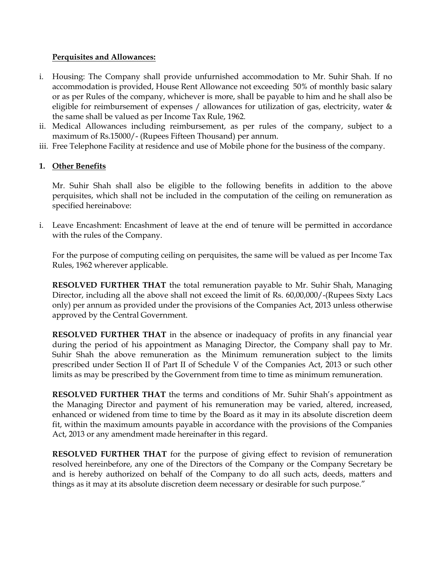### **Perquisites and Allowances:**

- i. Housing: The Company shall provide unfurnished accommodation to Mr. Suhir Shah. If no accommodation is provided, House Rent Allowance not exceeding 50% of monthly basic salary or as per Rules of the company, whichever is more, shall be payable to him and he shall also be eligible for reimbursement of expenses / allowances for utilization of gas, electricity, water & the same shall be valued as per Income Tax Rule, 1962.
- ii. Medical Allowances including reimbursement, as per rules of the company, subject to a maximum of Rs.15000/- (Rupees Fifteen Thousand) per annum.
- iii. Free Telephone Facility at residence and use of Mobile phone for the business of the company.

# **1. Other Benefits**

Mr. Suhir Shah shall also be eligible to the following benefits in addition to the above perquisites, which shall not be included in the computation of the ceiling on remuneration as specified hereinabove:

i. Leave Encashment: Encashment of leave at the end of tenure will be permitted in accordance with the rules of the Company.

For the purpose of computing ceiling on perquisites, the same will be valued as per Income Tax Rules, 1962 wherever applicable.

**RESOLVED FURTHER THAT** the total remuneration payable to Mr. Suhir Shah, Managing Director, including all the above shall not exceed the limit of Rs. 60,00,000/-(Rupees Sixty Lacs only) per annum as provided under the provisions of the Companies Act, 2013 unless otherwise approved by the Central Government.

**RESOLVED FURTHER THAT** in the absence or inadequacy of profits in any financial year during the period of his appointment as Managing Director, the Company shall pay to Mr. Suhir Shah the above remuneration as the Minimum remuneration subject to the limits prescribed under Section II of Part II of Schedule V of the Companies Act, 2013 or such other limits as may be prescribed by the Government from time to time as minimum remuneration.

**RESOLVED FURTHER THAT** the terms and conditions of Mr. Suhir Shah's appointment as the Managing Director and payment of his remuneration may be varied, altered, increased, enhanced or widened from time to time by the Board as it may in its absolute discretion deem fit, within the maximum amounts payable in accordance with the provisions of the Companies Act, 2013 or any amendment made hereinafter in this regard.

**RESOLVED FURTHER THAT** for the purpose of giving effect to revision of remuneration resolved hereinbefore, any one of the Directors of the Company or the Company Secretary be and is hereby authorized on behalf of the Company to do all such acts, deeds, matters and things as it may at its absolute discretion deem necessary or desirable for such purpose."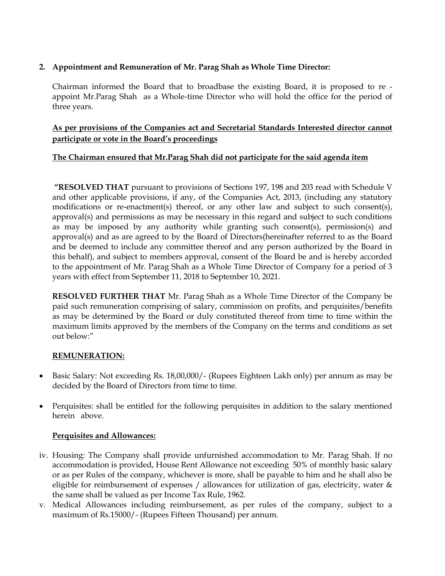## **2. Appointment and Remuneration of Mr. Parag Shah as Whole Time Director:**

Chairman informed the Board that to broadbase the existing Board, it is proposed to re appoint Mr.Parag Shah as a Whole-time Director who will hold the office for the period of three years.

# **As per provisions of the Companies act and Secretarial Standards Interested director cannot participate or vote in the Board's proceedings**

## **The Chairman ensured that Mr.Parag Shah did not participate for the said agenda item**

**"RESOLVED THAT** pursuant to provisions of Sections 197, 198 and 203 read with Schedule V and other applicable provisions, if any, of the Companies Act, 2013, (including any statutory modifications or re-enactment(s) thereof, or any other law and subject to such consent(s), approval(s) and permissions as may be necessary in this regard and subject to such conditions as may be imposed by any authority while granting such consent(s), permission(s) and approval(s) and as are agreed to by the Board of Directors(hereinafter referred to as the Board and be deemed to include any committee thereof and any person authorized by the Board in this behalf), and subject to members approval, consent of the Board be and is hereby accorded to the appointment of Mr. Parag Shah as a Whole Time Director of Company for a period of 3 years with effect from September 11, 2018 to September 10, 2021.

**RESOLVED FURTHER THAT** Mr. Parag Shah as a Whole Time Director of the Company be paid such remuneration comprising of salary, commission on profits, and perquisites/benefits as may be determined by the Board or duly constituted thereof from time to time within the maximum limits approved by the members of the Company on the terms and conditions as set out below:"

### **REMUNERATION:**

- Basic Salary: Not exceeding Rs. 18,00,000/- (Rupees Eighteen Lakh only) per annum as may be decided by the Board of Directors from time to time.
- Perquisites: shall be entitled for the following perquisites in addition to the salary mentioned herein above.

### **Perquisites and Allowances:**

- iv. Housing: The Company shall provide unfurnished accommodation to Mr. Parag Shah. If no accommodation is provided, House Rent Allowance not exceeding 50% of monthly basic salary or as per Rules of the company, whichever is more, shall be payable to him and he shall also be eligible for reimbursement of expenses / allowances for utilization of gas, electricity, water & the same shall be valued as per Income Tax Rule, 1962.
- v. Medical Allowances including reimbursement, as per rules of the company, subject to a maximum of Rs.15000/- (Rupees Fifteen Thousand) per annum.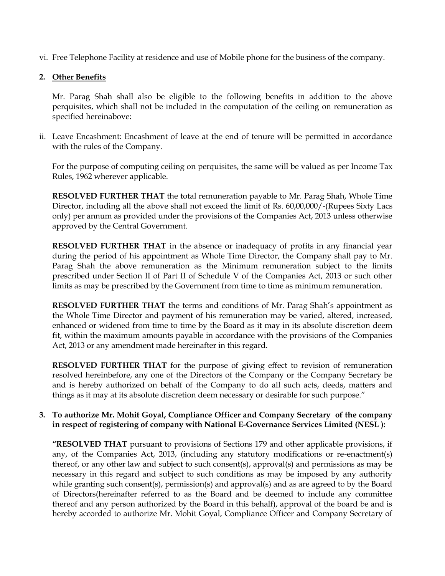vi. Free Telephone Facility at residence and use of Mobile phone for the business of the company.

### **2. Other Benefits**

Mr. Parag Shah shall also be eligible to the following benefits in addition to the above perquisites, which shall not be included in the computation of the ceiling on remuneration as specified hereinabove:

ii. Leave Encashment: Encashment of leave at the end of tenure will be permitted in accordance with the rules of the Company.

For the purpose of computing ceiling on perquisites, the same will be valued as per Income Tax Rules, 1962 wherever applicable.

**RESOLVED FURTHER THAT** the total remuneration payable to Mr. Parag Shah, Whole Time Director, including all the above shall not exceed the limit of Rs. 60,00,000/-(Rupees Sixty Lacs only) per annum as provided under the provisions of the Companies Act, 2013 unless otherwise approved by the Central Government.

**RESOLVED FURTHER THAT** in the absence or inadequacy of profits in any financial year during the period of his appointment as Whole Time Director, the Company shall pay to Mr. Parag Shah the above remuneration as the Minimum remuneration subject to the limits prescribed under Section II of Part II of Schedule V of the Companies Act, 2013 or such other limits as may be prescribed by the Government from time to time as minimum remuneration.

**RESOLVED FURTHER THAT** the terms and conditions of Mr. Parag Shah's appointment as the Whole Time Director and payment of his remuneration may be varied, altered, increased, enhanced or widened from time to time by the Board as it may in its absolute discretion deem fit, within the maximum amounts payable in accordance with the provisions of the Companies Act, 2013 or any amendment made hereinafter in this regard.

**RESOLVED FURTHER THAT** for the purpose of giving effect to revision of remuneration resolved hereinbefore, any one of the Directors of the Company or the Company Secretary be and is hereby authorized on behalf of the Company to do all such acts, deeds, matters and things as it may at its absolute discretion deem necessary or desirable for such purpose."

### **3. To authorize Mr. Mohit Goyal, Compliance Officer and Company Secretary of the company in respect of registering of company with National E-Governance Services Limited (NESL ):**

**"RESOLVED THAT** pursuant to provisions of Sections 179 and other applicable provisions, if any, of the Companies Act, 2013, (including any statutory modifications or re-enactment(s) thereof, or any other law and subject to such consent(s), approval(s) and permissions as may be necessary in this regard and subject to such conditions as may be imposed by any authority while granting such consent(s), permission(s) and approval(s) and as are agreed to by the Board of Directors(hereinafter referred to as the Board and be deemed to include any committee thereof and any person authorized by the Board in this behalf), approval of the board be and is hereby accorded to authorize Mr. Mohit Goyal, Compliance Officer and Company Secretary of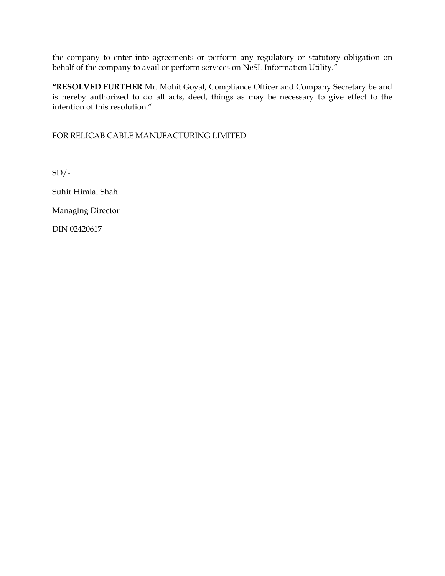the company to enter into agreements or perform any regulatory or statutory obligation on behalf of the company to avail or perform services on NeSL Information Utility."

**"RESOLVED FURTHER** Mr. Mohit Goyal, Compliance Officer and Company Secretary be and is hereby authorized to do all acts, deed, things as may be necessary to give effect to the intention of this resolution."

FOR RELICAB CABLE MANUFACTURING LIMITED

 $SD/-$ 

Suhir Hiralal Shah

Managing Director

DIN 02420617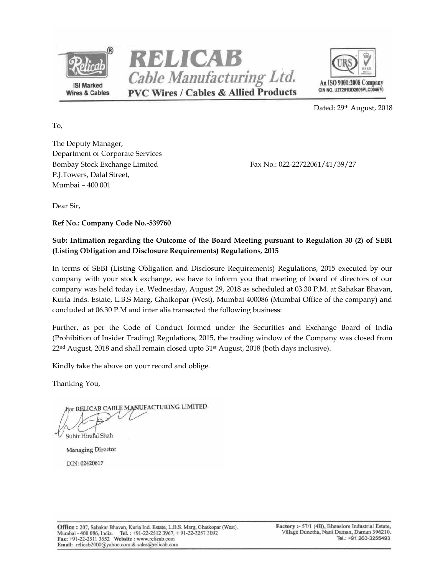





Dated: 29th August, 2018

To,

The Deputy Manager, Department of Corporate Services Bombay Stock Exchange Limited Fax No.: 022-22722061/41/39/27 P.J.Towers, Dalal Street, Mumbai – 400 001

Dear Sir,

**Ref No.: Company Code No.-539760** 

## **Sub: Intimation regarding the Outcome of the Board Meeting pursuant to Regulation 30 (2) of SEBI (Listing Obligation and Disclosure Requirements) Regulations, 2015**

In terms of SEBI (Listing Obligation and Disclosure Requirements) Regulations, 2015 executed by our company with your stock exchange, we have to inform you that meeting of board of directors of our company was held today i.e. Wednesday, August 29, 2018 as scheduled at 03.30 P.M. at Sahakar Bhavan, Kurla Inds. Estate, L.B.S Marg, Ghatkopar (West), Mumbai 400086 (Mumbai Office of the company) and concluded at 06.30 P.M and inter alia transacted the following business:

Further, as per the Code of Conduct formed under the Securities and Exchange Board of India (Prohibition of Insider Trading) Regulations, 2015, the trading window of the Company was closed from 22nd August, 2018 and shall remain closed upto 31st August, 2018 (both days inclusive).

Kindly take the above on your record and oblige.

Thanking You,

or RELICAB CABLE MANUFACTURING LIMITED Suhir Hiralal Shah

**Managing Director** DIN: 02420617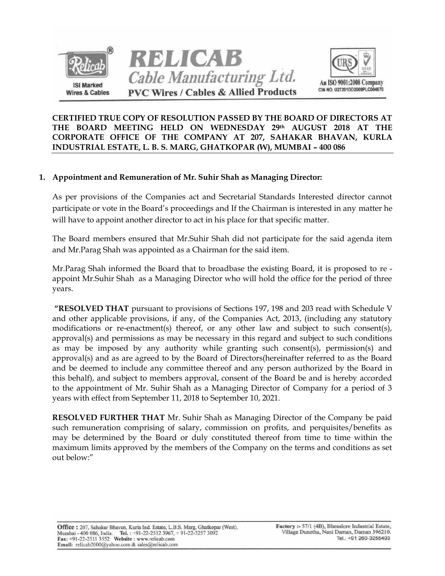



**CERTIFIED TRUE COPY OF RESOLUTION PASSED BY THE BOARD OF DIRECTORS AT THE BOARD MEETING HELD ON WEDNESDAY 29th AUGUST 2018 AT THE CORPORATE OFFICE OF THE COMPANY AT 207, SAHAKAR BHAVAN, KURLA INDUSTRIAL ESTATE, L. B. S. MARG, GHATKOPAR (W), MUMBAI – 400 086** 

### **1. Appointment and Remuneration of Mr. Suhir Shah as Managing Director:**

As per provisions of the Companies act and Secretarial Standards Interested director cannot participate or vote in the Board's proceedings and If the Chairman is interested in any matter he will have to appoint another director to act in his place for that specific matter.

The Board members ensured that Mr.Suhir Shah did not participate for the said agenda item and Mr.Parag Shah was appointed as a Chairman for the said item.

Mr.Parag Shah informed the Board that to broadbase the existing Board, it is proposed to re appoint Mr.Suhir Shah as a Managing Director who will hold the office for the period of three years.

**"RESOLVED THAT** pursuant to provisions of Sections 197, 198 and 203 read with Schedule V and other applicable provisions, if any, of the Companies Act, 2013, (including any statutory modifications or re-enactment(s) thereof, or any other law and subject to such consent(s), approval(s) and permissions as may be necessary in this regard and subject to such conditions as may be imposed by any authority while granting such consent(s), permission(s) and approval(s) and as are agreed to by the Board of Directors(hereinafter referred to as the Board and be deemed to include any committee thereof and any person authorized by the Board in this behalf), and subject to members approval, consent of the Board be and is hereby accorded to the appointment of Mr. Suhir Shah as a Managing Director of Company for a period of 3 years with effect from September 11, 2018 to September 10, 2021.

**RESOLVED FURTHER THAT** Mr. Suhir Shah as Managing Director of the Company be paid such remuneration comprising of salary, commission on profits, and perquisites/benefits as may be determined by the Board or duly constituted thereof from time to time within the maximum limits approved by the members of the Company on the terms and conditions as set out below:"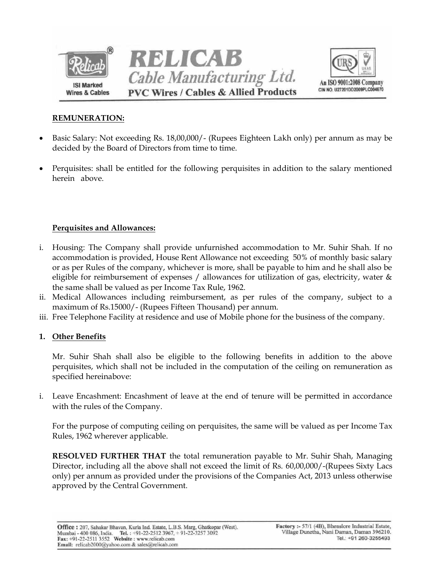



### **REMUNERATION:**

- Basic Salary: Not exceeding Rs. 18,00,000/- (Rupees Eighteen Lakh only) per annum as may be decided by the Board of Directors from time to time.
- Perquisites: shall be entitled for the following perquisites in addition to the salary mentioned herein above.

### **Perquisites and Allowances:**

- i. Housing: The Company shall provide unfurnished accommodation to Mr. Suhir Shah. If no accommodation is provided, House Rent Allowance not exceeding 50% of monthly basic salary or as per Rules of the company, whichever is more, shall be payable to him and he shall also be eligible for reimbursement of expenses / allowances for utilization of gas, electricity, water & the same shall be valued as per Income Tax Rule, 1962.
- ii. Medical Allowances including reimbursement, as per rules of the company, subject to a maximum of Rs.15000/- (Rupees Fifteen Thousand) per annum.
- iii. Free Telephone Facility at residence and use of Mobile phone for the business of the company.

#### **1. Other Benefits**

Mr. Suhir Shah shall also be eligible to the following benefits in addition to the above perquisites, which shall not be included in the computation of the ceiling on remuneration as specified hereinabove:

i. Leave Encashment: Encashment of leave at the end of tenure will be permitted in accordance with the rules of the Company.

For the purpose of computing ceiling on perquisites, the same will be valued as per Income Tax Rules, 1962 wherever applicable.

**RESOLVED FURTHER THAT** the total remuneration payable to Mr. Suhir Shah, Managing Director, including all the above shall not exceed the limit of Rs. 60,00,000/-(Rupees Sixty Lacs only) per annum as provided under the provisions of the Companies Act, 2013 unless otherwise approved by the Central Government.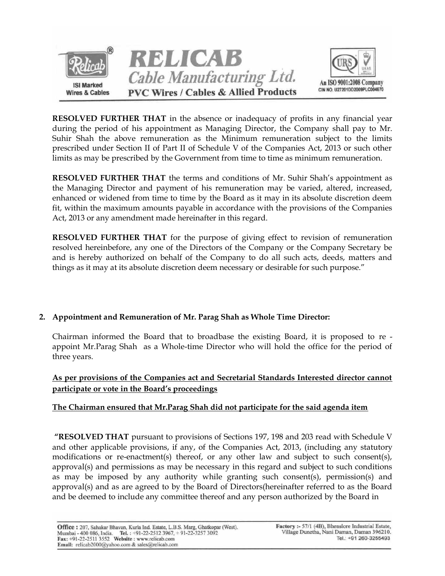

**RESOLVED FURTHER THAT** in the absence or inadequacy of profits in any financial year during the period of his appointment as Managing Director, the Company shall pay to Mr. Suhir Shah the above remuneration as the Minimum remuneration subject to the limits prescribed under Section II of Part II of Schedule V of the Companies Act, 2013 or such other limits as may be prescribed by the Government from time to time as minimum remuneration.

**RESOLVED FURTHER THAT** the terms and conditions of Mr. Suhir Shah's appointment as the Managing Director and payment of his remuneration may be varied, altered, increased, enhanced or widened from time to time by the Board as it may in its absolute discretion deem fit, within the maximum amounts payable in accordance with the provisions of the Companies Act, 2013 or any amendment made hereinafter in this regard.

**RESOLVED FURTHER THAT** for the purpose of giving effect to revision of remuneration resolved hereinbefore, any one of the Directors of the Company or the Company Secretary be and is hereby authorized on behalf of the Company to do all such acts, deeds, matters and things as it may at its absolute discretion deem necessary or desirable for such purpose."

# **2. Appointment and Remuneration of Mr. Parag Shah as Whole Time Director:**

Chairman informed the Board that to broadbase the existing Board, it is proposed to re appoint Mr.Parag Shah as a Whole-time Director who will hold the office for the period of three years.

**As per provisions of the Companies act and Secretarial Standards Interested director cannot participate or vote in the Board's proceedings** 

# **The Chairman ensured that Mr.Parag Shah did not participate for the said agenda item**

**"RESOLVED THAT** pursuant to provisions of Sections 197, 198 and 203 read with Schedule V and other applicable provisions, if any, of the Companies Act, 2013, (including any statutory modifications or re-enactment(s) thereof, or any other law and subject to such consent(s), approval(s) and permissions as may be necessary in this regard and subject to such conditions as may be imposed by any authority while granting such consent(s), permission(s) and approval(s) and as are agreed to by the Board of Directors(hereinafter referred to as the Board and be deemed to include any committee thereof and any person authorized by the Board in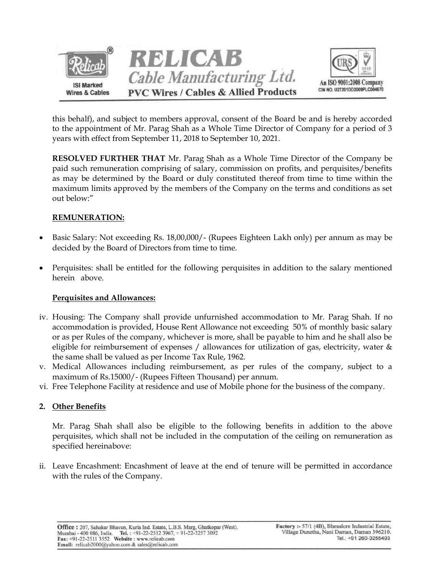

this behalf), and subject to members approval, consent of the Board be and is hereby accorded to the appointment of Mr. Parag Shah as a Whole Time Director of Company for a period of 3 years with effect from September 11, 2018 to September 10, 2021.

**RESOLVED FURTHER THAT** Mr. Parag Shah as a Whole Time Director of the Company be paid such remuneration comprising of salary, commission on profits, and perquisites/benefits as may be determined by the Board or duly constituted thereof from time to time within the maximum limits approved by the members of the Company on the terms and conditions as set out below:"

# **REMUNERATION:**

- Basic Salary: Not exceeding Rs. 18,00,000/- (Rupees Eighteen Lakh only) per annum as may be decided by the Board of Directors from time to time.
- Perquisites: shall be entitled for the following perquisites in addition to the salary mentioned herein above.

### **Perquisites and Allowances:**

- iv. Housing: The Company shall provide unfurnished accommodation to Mr. Parag Shah. If no accommodation is provided, House Rent Allowance not exceeding 50% of monthly basic salary or as per Rules of the company, whichever is more, shall be payable to him and he shall also be eligible for reimbursement of expenses / allowances for utilization of gas, electricity, water & the same shall be valued as per Income Tax Rule, 1962.
- v. Medical Allowances including reimbursement, as per rules of the company, subject to a maximum of Rs.15000/- (Rupees Fifteen Thousand) per annum.
- vi. Free Telephone Facility at residence and use of Mobile phone for the business of the company.

# **2. Other Benefits**

Mr. Parag Shah shall also be eligible to the following benefits in addition to the above perquisites, which shall not be included in the computation of the ceiling on remuneration as specified hereinabove:

ii. Leave Encashment: Encashment of leave at the end of tenure will be permitted in accordance with the rules of the Company.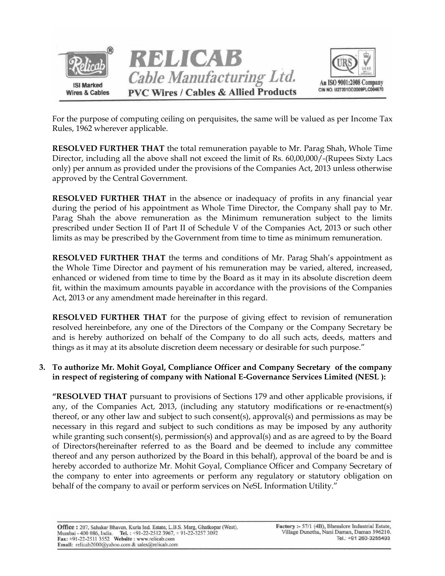

For the purpose of computing ceiling on perquisites, the same will be valued as per Income Tax Rules, 1962 wherever applicable.

**RESOLVED FURTHER THAT** the total remuneration payable to Mr. Parag Shah, Whole Time Director, including all the above shall not exceed the limit of Rs. 60,00,000/-(Rupees Sixty Lacs only) per annum as provided under the provisions of the Companies Act, 2013 unless otherwise approved by the Central Government.

**RESOLVED FURTHER THAT** in the absence or inadequacy of profits in any financial year during the period of his appointment as Whole Time Director, the Company shall pay to Mr. Parag Shah the above remuneration as the Minimum remuneration subject to the limits prescribed under Section II of Part II of Schedule V of the Companies Act, 2013 or such other limits as may be prescribed by the Government from time to time as minimum remuneration.

**RESOLVED FURTHER THAT** the terms and conditions of Mr. Parag Shah's appointment as the Whole Time Director and payment of his remuneration may be varied, altered, increased, enhanced or widened from time to time by the Board as it may in its absolute discretion deem fit, within the maximum amounts payable in accordance with the provisions of the Companies Act, 2013 or any amendment made hereinafter in this regard.

**RESOLVED FURTHER THAT** for the purpose of giving effect to revision of remuneration resolved hereinbefore, any one of the Directors of the Company or the Company Secretary be and is hereby authorized on behalf of the Company to do all such acts, deeds, matters and things as it may at its absolute discretion deem necessary or desirable for such purpose."

## **3. To authorize Mr. Mohit Goyal, Compliance Officer and Company Secretary of the company in respect of registering of company with National E-Governance Services Limited (NESL ):**

**"RESOLVED THAT** pursuant to provisions of Sections 179 and other applicable provisions, if any, of the Companies Act, 2013, (including any statutory modifications or re-enactment(s) thereof, or any other law and subject to such consent(s), approval(s) and permissions as may be necessary in this regard and subject to such conditions as may be imposed by any authority while granting such consent(s), permission(s) and approval(s) and as are agreed to by the Board of Directors(hereinafter referred to as the Board and be deemed to include any committee thereof and any person authorized by the Board in this behalf), approval of the board be and is hereby accorded to authorize Mr. Mohit Goyal, Compliance Officer and Company Secretary of the company to enter into agreements or perform any regulatory or statutory obligation on behalf of the company to avail or perform services on NeSL Information Utility."